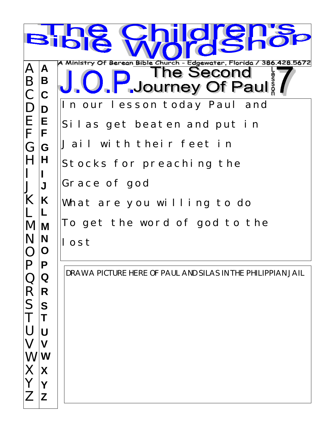|                             |             | C<br>$\blacksquare$<br><b>IO</b>                                                                                         |
|-----------------------------|-------------|--------------------------------------------------------------------------------------------------------------------------|
| $\bm{\mathsf{A}}$<br>B<br>C | A<br>B<br>C | A Ministry Of Berean Bible Church - Edgewater, Florida /<br>28.5672<br>386<br>The Second<br><b>J. F. Journey Of Paul</b> |
| $\Box$<br>E<br>F            | D<br>E<br>F | In our lesson today Paul and<br>Silas get beaten and put in                                                              |
| G                           | G<br>H      | Jail with their feet in<br>Stocks for preaching the                                                                      |
| K                           | J<br>K      | Grace of god<br>What are you willing to do                                                                               |
| M                           | M<br>N<br>O | To get the word of god to the<br>I ost                                                                                   |
| R                           | D<br>Q<br>R | DRAW A PICTURE HERE OF PAUL AND SILAS IN THE PHILIPPIAN JAIL                                                             |
| S                           | S<br>U      |                                                                                                                          |
| W<br>Х                      | W<br>X      |                                                                                                                          |
|                             | Z           |                                                                                                                          |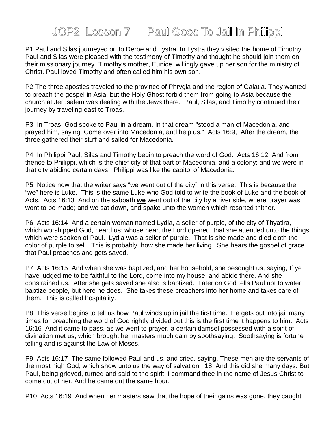## JOP2 Lesson 7 — Paul Goes To Jail In Philippi

P1 Paul and Silas journeyed on to Derbe and Lystra. In Lystra they visited the home of Timothy. Paul and Silas were pleased with the testimony of Timothy and thought he should join them on their missionary journey. Timothy's mother, Eunice, willingly gave up her son for the ministry of Christ. Paul loved Timothy and often called him his own son.

P2 The three apostles traveled to the province of Phrygia and the region of Galatia. They wanted to preach the gospel in Asia, but the Holy Ghost forbid them from going to Asia because the church at Jerusalem was dealing with the Jews there. Paul, Silas, and Timothy continued their journey by traveling east to Troas.

P3 In Troas, God spoke to Paul in a dream. In that dream "stood a man of Macedonia, and prayed him, saying, Come over into Macedonia, and help us." Acts 16:9, After the dream, the three gathered their stuff and sailed for Macedonia.

P4 In Philippi Paul, Silas and Timothy begin to preach the word of God. Acts 16:12 And from thence to Philippi, which is the chief city of that part of Macedonia, and a colony: and we were in that city abiding certain days. Philippi was like the capitol of Macedonia.

P5 Notice now that the writer says "we went out of the city" in this verse. This is because the "we" here is Luke. This is the same Luke who God told to write the book of Luke and the book of Acts. Acts 16:13 And on the sabbath **we** went out of the city by a river side, where prayer was wont to be made; and we sat down, and spake unto the women which resorted thither.

P6 Acts 16:14 And a certain woman named Lydia, a seller of purple, of the city of Thyatira, which worshipped God, heard us: whose heart the Lord opened, that she attended unto the things which were spoken of Paul. Lydia was a seller of purple. That is she made and died cloth the color of purple to sell. This is probably how she made her living. She hears the gospel of grace that Paul preaches and gets saved.

P7 Acts 16:15 And when she was baptized, and her household, she besought us, saying, If ye have judged me to be faithful to the Lord, come into my house, and abide there. And she constrained us. After she gets saved she also is baptized. Later on God tells Paul not to water baptize people, but here he does. She takes these preachers into her home and takes care of them. This is called hospitality.

P8 This verse begins to tell us how Paul winds up in jail the first time. He gets put into jail many times for preaching the word of God rightly divided but this is the first time it happens to him. Acts 16:16 And it came to pass, as we went to prayer, a certain damsel possessed with a spirit of divination met us, which brought her masters much gain by soothsaying: Soothsaying is fortune telling and is against the Law of Moses.

P9 Acts 16:17 The same followed Paul and us, and cried, saying, These men are the servants of the most high God, which show unto us the way of salvation. 18 And this did she many days. But Paul, being grieved, turned and said to the spirit, I command thee in the name of Jesus Christ to come out of her. And he came out the same hour.

P10 Acts 16:19 And when her masters saw that the hope of their gains was gone, they caught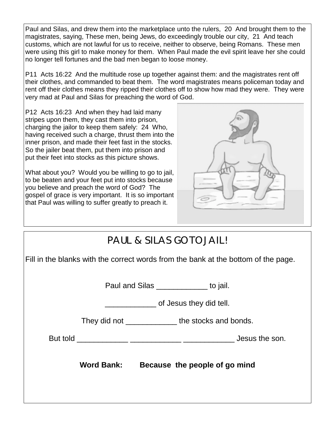Paul and Silas, and drew them into the marketplace unto the rulers, 20 And brought them to the magistrates, saying, These men, being Jews, do exceedingly trouble our city, 21 And teach customs, which are not lawful for us to receive, neither to observe, being Romans. These men were using this girl to make money for them. When Paul made the evil spirit leave her she could no longer tell fortunes and the bad men began to loose money.

P11 Acts 16:22 And the multitude rose up together against them: and the magistrates rent off their clothes, and commanded to beat them. The word magistrates means policeman today and rent off their clothes means they ripped their clothes off to show how mad they were. They were very mad at Paul and Silas for preaching the word of God.

P12 Acts 16:23 And when they had laid many stripes upon them, they cast them into prison, charging the jailor to keep them safely: 24 Who, having received such a charge, thrust them into the inner prison, and made their feet fast in the stocks. So the jailer beat them, put them into prison and put their feet into stocks as this picture shows.

What about you? Would you be willing to go to jail, to be beaten and your feet put into stocks because you believe and preach the word of God? The gospel of grace is very important. It is so important that Paul was willing to suffer greatly to preach it.



| PAUL & SILAS GO TO JAIL!                                                           |                         |                                    |  |  |  |  |  |
|------------------------------------------------------------------------------------|-------------------------|------------------------------------|--|--|--|--|--|
| Fill in the blanks with the correct words from the bank at the bottom of the page. |                         |                                    |  |  |  |  |  |
| Paul and Silas _____________ to jail.                                              |                         |                                    |  |  |  |  |  |
|                                                                                    | of Jesus they did tell. |                                    |  |  |  |  |  |
|                                                                                    |                         | They did not the stocks and bonds. |  |  |  |  |  |
|                                                                                    |                         |                                    |  |  |  |  |  |
|                                                                                    | <b>Word Bank:</b>       | Because the people of go mind      |  |  |  |  |  |